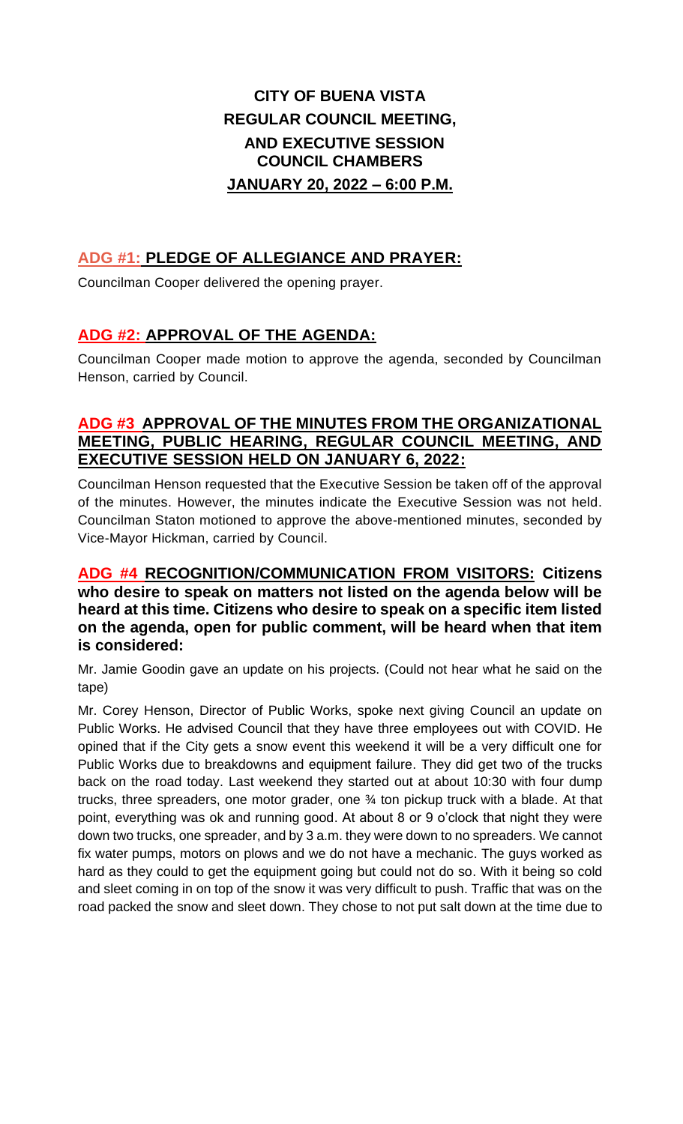# **CITY OF BUENA VISTA REGULAR COUNCIL MEETING, AND EXECUTIVE SESSION COUNCIL CHAMBERS JANUARY 20, 2022 – 6:00 P.M.**

# **ADG #1: PLEDGE OF ALLEGIANCE AND PRAYER:**

Councilman Cooper delivered the opening prayer.

# **ADG #2: APPROVAL OF THE AGENDA:**

Councilman Cooper made motion to approve the agenda, seconded by Councilman Henson, carried by Council.

### **ADG #3 APPROVAL OF THE MINUTES FROM THE ORGANIZATIONAL MEETING, PUBLIC HEARING, REGULAR COUNCIL MEETING, AND EXECUTIVE SESSION HELD ON JANUARY 6, 2022:**

Councilman Henson requested that the Executive Session be taken off of the approval of the minutes. However, the minutes indicate the Executive Session was not held. Councilman Staton motioned to approve the above-mentioned minutes, seconded by Vice-Mayor Hickman, carried by Council.

### **ADG #4 RECOGNITION/COMMUNICATION FROM VISITORS: Citizens who desire to speak on matters not listed on the agenda below will be heard at this time. Citizens who desire to speak on a specific item listed on the agenda, open for public comment, will be heard when that item is considered:**

Mr. Jamie Goodin gave an update on his projects. (Could not hear what he said on the tape)

Mr. Corey Henson, Director of Public Works, spoke next giving Council an update on Public Works. He advised Council that they have three employees out with COVID. He opined that if the City gets a snow event this weekend it will be a very difficult one for Public Works due to breakdowns and equipment failure. They did get two of the trucks back on the road today. Last weekend they started out at about 10:30 with four dump trucks, three spreaders, one motor grader, one ¾ ton pickup truck with a blade. At that point, everything was ok and running good. At about 8 or 9 o'clock that night they were down two trucks, one spreader, and by 3 a.m. they were down to no spreaders. We cannot fix water pumps, motors on plows and we do not have a mechanic. The guys worked as hard as they could to get the equipment going but could not do so. With it being so cold and sleet coming in on top of the snow it was very difficult to push. Traffic that was on the road packed the snow and sleet down. They chose to not put salt down at the time due to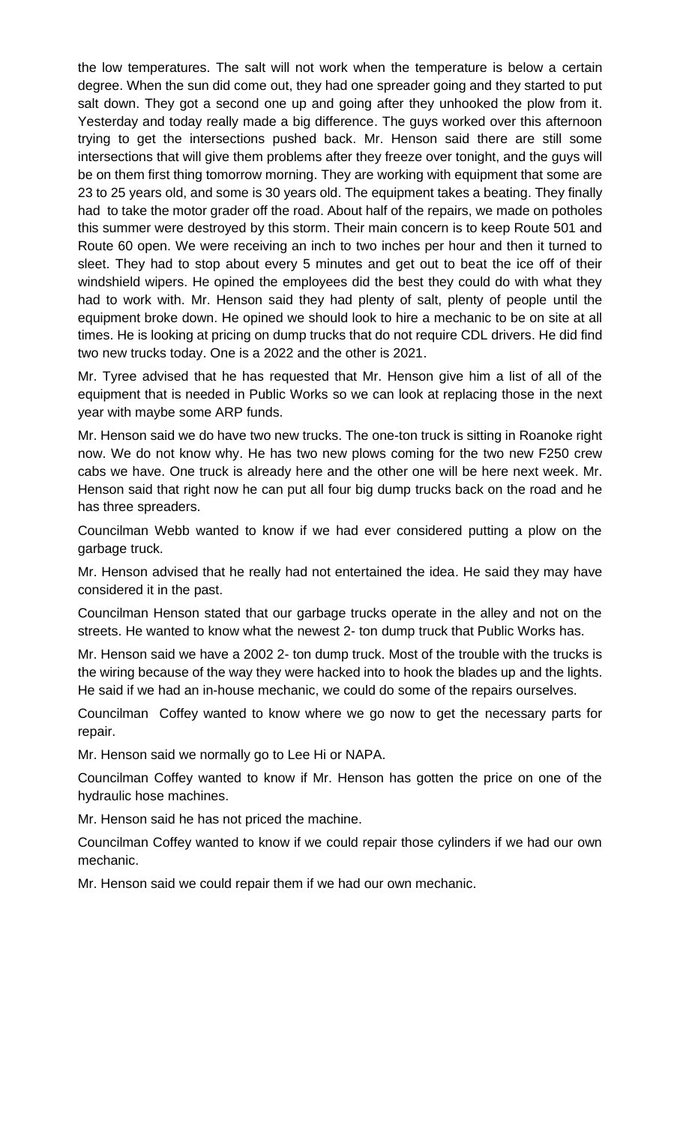the low temperatures. The salt will not work when the temperature is below a certain degree. When the sun did come out, they had one spreader going and they started to put salt down. They got a second one up and going after they unhooked the plow from it. Yesterday and today really made a big difference. The guys worked over this afternoon trying to get the intersections pushed back. Mr. Henson said there are still some intersections that will give them problems after they freeze over tonight, and the guys will be on them first thing tomorrow morning. They are working with equipment that some are 23 to 25 years old, and some is 30 years old. The equipment takes a beating. They finally had to take the motor grader off the road. About half of the repairs, we made on potholes this summer were destroyed by this storm. Their main concern is to keep Route 501 and Route 60 open. We were receiving an inch to two inches per hour and then it turned to sleet. They had to stop about every 5 minutes and get out to beat the ice off of their windshield wipers. He opined the employees did the best they could do with what they had to work with. Mr. Henson said they had plenty of salt, plenty of people until the equipment broke down. He opined we should look to hire a mechanic to be on site at all times. He is looking at pricing on dump trucks that do not require CDL drivers. He did find two new trucks today. One is a 2022 and the other is 2021.

Mr. Tyree advised that he has requested that Mr. Henson give him a list of all of the equipment that is needed in Public Works so we can look at replacing those in the next year with maybe some ARP funds.

Mr. Henson said we do have two new trucks. The one-ton truck is sitting in Roanoke right now. We do not know why. He has two new plows coming for the two new F250 crew cabs we have. One truck is already here and the other one will be here next week. Mr. Henson said that right now he can put all four big dump trucks back on the road and he has three spreaders.

Councilman Webb wanted to know if we had ever considered putting a plow on the garbage truck.

Mr. Henson advised that he really had not entertained the idea. He said they may have considered it in the past.

Councilman Henson stated that our garbage trucks operate in the alley and not on the streets. He wanted to know what the newest 2- ton dump truck that Public Works has.

Mr. Henson said we have a 2002 2- ton dump truck. Most of the trouble with the trucks is the wiring because of the way they were hacked into to hook the blades up and the lights. He said if we had an in-house mechanic, we could do some of the repairs ourselves.

Councilman Coffey wanted to know where we go now to get the necessary parts for repair.

Mr. Henson said we normally go to Lee Hi or NAPA.

Councilman Coffey wanted to know if Mr. Henson has gotten the price on one of the hydraulic hose machines.

Mr. Henson said he has not priced the machine.

Councilman Coffey wanted to know if we could repair those cylinders if we had our own mechanic.

Mr. Henson said we could repair them if we had our own mechanic.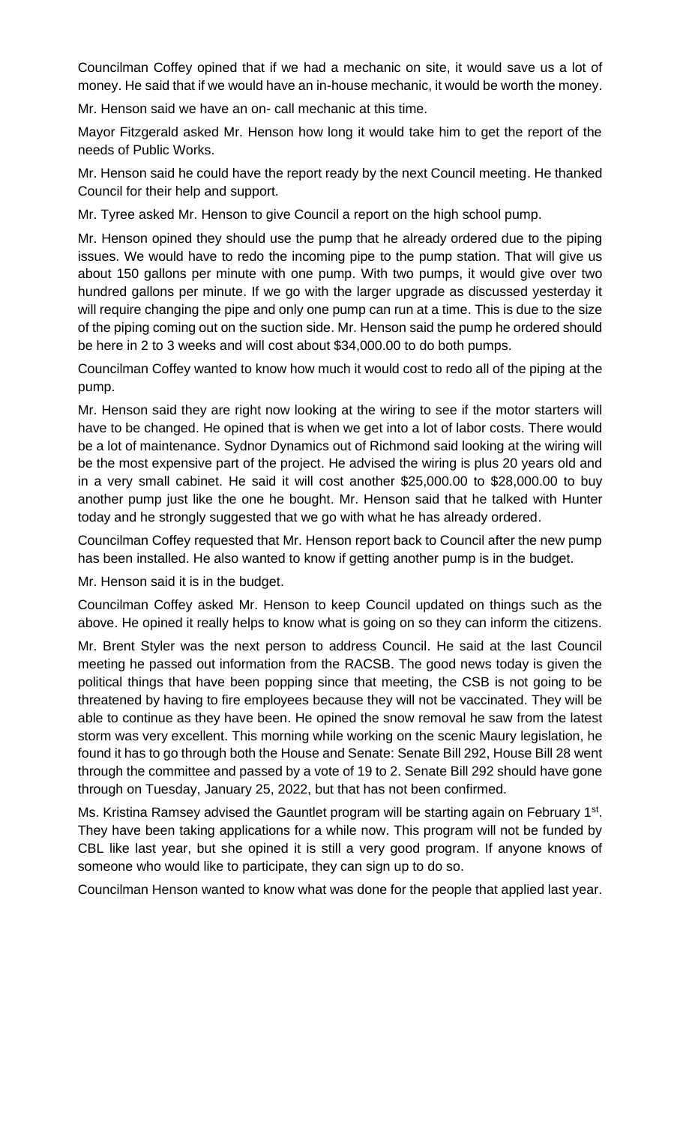Councilman Coffey opined that if we had a mechanic on site, it would save us a lot of money. He said that if we would have an in-house mechanic, it would be worth the money.

Mr. Henson said we have an on- call mechanic at this time.

Mayor Fitzgerald asked Mr. Henson how long it would take him to get the report of the needs of Public Works.

Mr. Henson said he could have the report ready by the next Council meeting. He thanked Council for their help and support.

Mr. Tyree asked Mr. Henson to give Council a report on the high school pump.

Mr. Henson opined they should use the pump that he already ordered due to the piping issues. We would have to redo the incoming pipe to the pump station. That will give us about 150 gallons per minute with one pump. With two pumps, it would give over two hundred gallons per minute. If we go with the larger upgrade as discussed yesterday it will require changing the pipe and only one pump can run at a time. This is due to the size of the piping coming out on the suction side. Mr. Henson said the pump he ordered should be here in 2 to 3 weeks and will cost about \$34,000.00 to do both pumps.

Councilman Coffey wanted to know how much it would cost to redo all of the piping at the pump.

Mr. Henson said they are right now looking at the wiring to see if the motor starters will have to be changed. He opined that is when we get into a lot of labor costs. There would be a lot of maintenance. Sydnor Dynamics out of Richmond said looking at the wiring will be the most expensive part of the project. He advised the wiring is plus 20 years old and in a very small cabinet. He said it will cost another \$25,000.00 to \$28,000.00 to buy another pump just like the one he bought. Mr. Henson said that he talked with Hunter today and he strongly suggested that we go with what he has already ordered.

Councilman Coffey requested that Mr. Henson report back to Council after the new pump has been installed. He also wanted to know if getting another pump is in the budget.

Mr. Henson said it is in the budget.

Councilman Coffey asked Mr. Henson to keep Council updated on things such as the above. He opined it really helps to know what is going on so they can inform the citizens.

Mr. Brent Styler was the next person to address Council. He said at the last Council meeting he passed out information from the RACSB. The good news today is given the political things that have been popping since that meeting, the CSB is not going to be threatened by having to fire employees because they will not be vaccinated. They will be able to continue as they have been. He opined the snow removal he saw from the latest storm was very excellent. This morning while working on the scenic Maury legislation, he found it has to go through both the House and Senate: Senate Bill 292, House Bill 28 went through the committee and passed by a vote of 19 to 2. Senate Bill 292 should have gone through on Tuesday, January 25, 2022, but that has not been confirmed.

Ms. Kristina Ramsey advised the Gauntlet program will be starting again on February 1<sup>st</sup>. They have been taking applications for a while now. This program will not be funded by CBL like last year, but she opined it is still a very good program. If anyone knows of someone who would like to participate, they can sign up to do so.

Councilman Henson wanted to know what was done for the people that applied last year.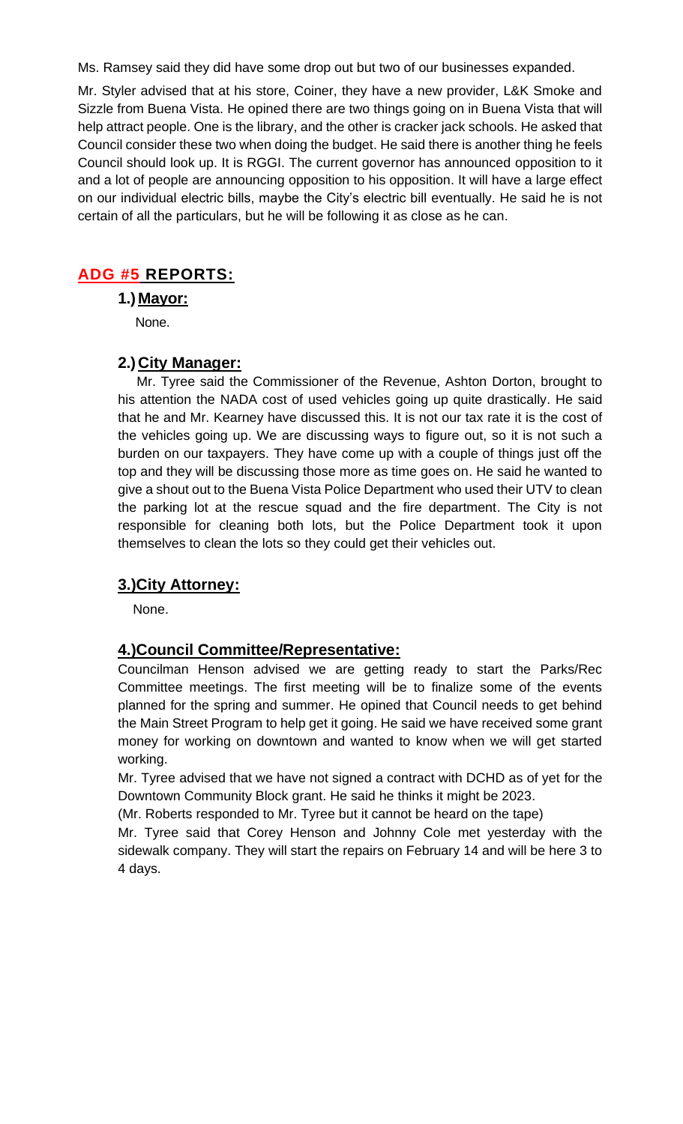Ms. Ramsey said they did have some drop out but two of our businesses expanded.

Mr. Styler advised that at his store, Coiner, they have a new provider, L&K Smoke and Sizzle from Buena Vista. He opined there are two things going on in Buena Vista that will help attract people. One is the library, and the other is cracker jack schools. He asked that Council consider these two when doing the budget. He said there is another thing he feels Council should look up. It is RGGI. The current governor has announced opposition to it and a lot of people are announcing opposition to his opposition. It will have a large effect on our individual electric bills, maybe the City's electric bill eventually. He said he is not certain of all the particulars, but he will be following it as close as he can.

## **ADG #5 REPORTS:**

**1.) Mayor:**

None.

### **2.) City Manager:**

 Mr. Tyree said the Commissioner of the Revenue, Ashton Dorton, brought to his attention the NADA cost of used vehicles going up quite drastically. He said that he and Mr. Kearney have discussed this. It is not our tax rate it is the cost of the vehicles going up. We are discussing ways to figure out, so it is not such a burden on our taxpayers. They have come up with a couple of things just off the top and they will be discussing those more as time goes on. He said he wanted to give a shout out to the Buena Vista Police Department who used their UTV to clean the parking lot at the rescue squad and the fire department. The City is not responsible for cleaning both lots, but the Police Department took it upon themselves to clean the lots so they could get their vehicles out.

## **3.)City Attorney:**

None.

#### **4.)Council Committee/Representative:**

Councilman Henson advised we are getting ready to start the Parks/Rec Committee meetings. The first meeting will be to finalize some of the events planned for the spring and summer. He opined that Council needs to get behind the Main Street Program to help get it going. He said we have received some grant money for working on downtown and wanted to know when we will get started working.

Mr. Tyree advised that we have not signed a contract with DCHD as of yet for the Downtown Community Block grant. He said he thinks it might be 2023.

(Mr. Roberts responded to Mr. Tyree but it cannot be heard on the tape)

Mr. Tyree said that Corey Henson and Johnny Cole met yesterday with the sidewalk company. They will start the repairs on February 14 and will be here 3 to 4 days.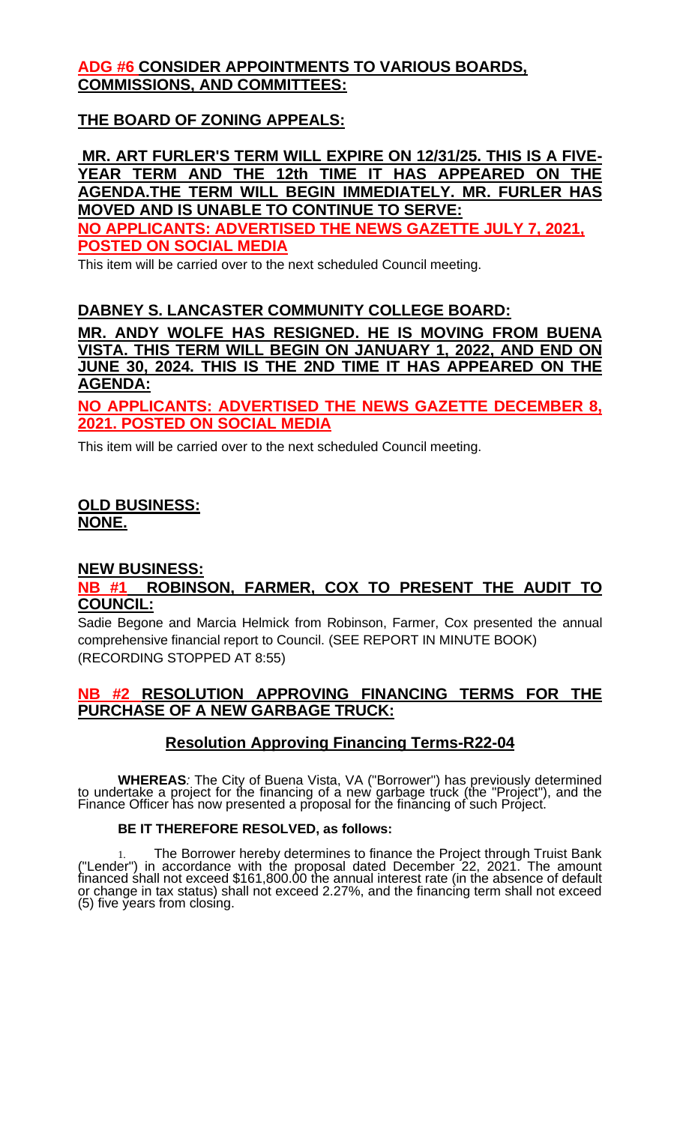# **ADG #6 CONSIDER APPOINTMENTS TO VARIOUS BOARDS, COMMISSIONS, AND COMMITTEES:**

# **THE BOARD OF ZONING APPEALS:**

**MR. ART FURLER'S TERM WILL EXPIRE ON 12/31/25. THIS IS A FIVE-YEAR TERM AND THE 12th TIME IT HAS APPEARED ON THE AGENDA.THE TERM WILL BEGIN [IMMEDIATELY. MR.](http://immediately.mr/) FURLER HAS MOVED AND IS UNABLE TO CONTINUE TO SERVE: NO APPLICANTS: ADVERTISED THE NEWS GAZETTE JULY 7, 2021, POSTED ON SOCIAL MEDIA**

This item will be carried over to the next scheduled Council meeting.

## **DABNEY S. LANCASTER COMMUNITY COLLEGE BOARD:**

**MR. ANDY WOLFE HAS RESIGNED. HE IS MOVING FROM BUENA VISTA. THIS TERM WILL BEGIN ON JANUARY 1, 2022, AND END ON JUNE 30, 2024. THIS IS THE 2ND TIME IT HAS APPEARED ON THE AGENDA:**

**NO APPLICANTS: ADVERTISED THE NEWS GAZETTE DECEMBER 8, 2021. POSTED ON SOCIAL MEDIA**

This item will be carried over to the next scheduled Council meeting.

## **OLD BUSINESS: NONE.**

#### **NEW BUSINESS:**

### **NB #1 ROBINSON, FARMER, COX TO PRESENT THE AUDIT TO COUNCIL:**

Sadie Begone and Marcia Helmick from Robinson, Farmer, Cox presented the annual comprehensive financial report to Council. (SEE REPORT IN MINUTE BOOK) (RECORDING STOPPED AT 8:55)

### **NB #2 RESOLUTION APPROVING FINANCING TERMS FOR THE PURCHASE OF A NEW GARBAGE TRUCK:**

# **Resolution Approving Financing Terms-R22-04**

**WHEREAS***:* The City of Buena Vista, VA ("Borrower") has previously determined to undertake a project for the financing of a new garbage truck (the "Project"), and the Finance Officer has now presented a proposal for the financing of such Project.

#### **BE IT THEREFORE RESOLVED, as follows:**

1. The Borrower hereby determines to finance the Project through Truist Bank ("Lender") in accordance with the proposal dated December 22, 2021. The amount financed shall not exceed \$161,800.00 the annual interest rate (in the absence of default or change in tax status) shall not exceed 2.27%, and the financing term shall not exceed (5) five years from closing.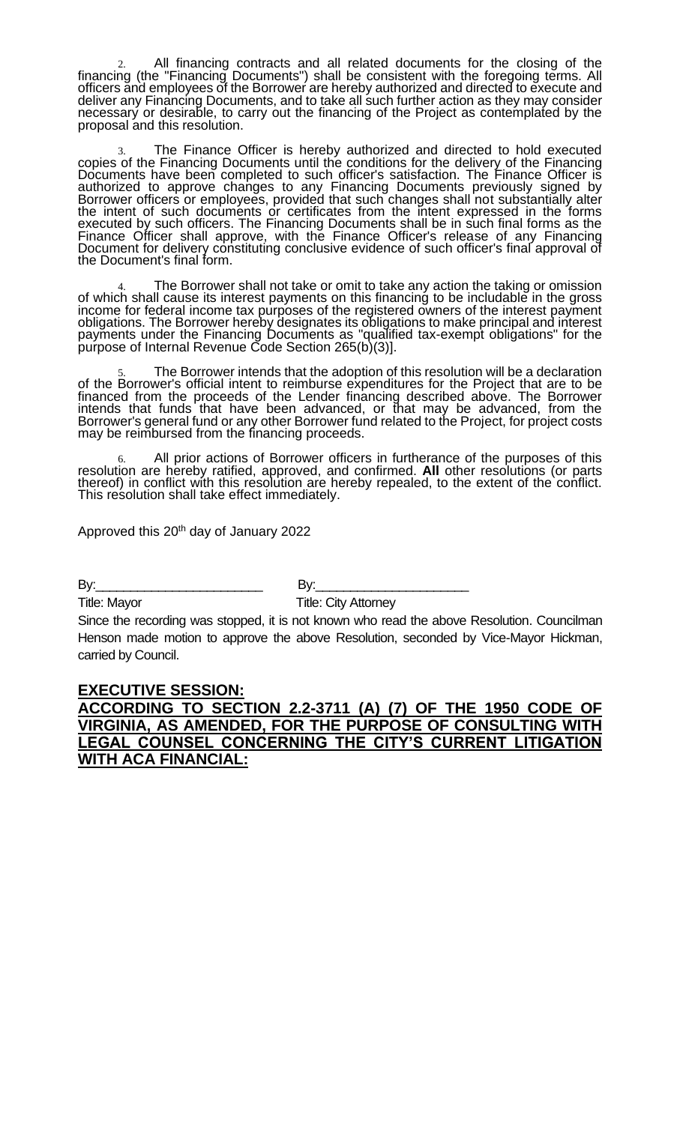2. All financing contracts and all related documents for the closing of the financing (the "Financing Documents") shall be consistent with the foregoing terms. All officers and employees of the Borrower are hereby authorized and directed to execute and deliver any Financing Documents, and to take all such further action as they may consider necessary or desirable, to carry out the financing of the Project as contemplated by the proposal and this resolution.

3. The Finance Officer is hereby authorized and directed to hold executed copies of the Financing Documents until the conditions for the delivery of the Financing Documents have been completed to such officer's satisfaction. The Finance Officer is authorized to approve changes to any Financing Documents previously signed by Borrower officers or employees, provided that such changes shall not substantially alter the intent of such documents or certificates from the intent expressed in the forms executed by such officers. The Financing Documents shall be in such final forms as the Finance Officer shall approve, with the Finance Officer's release of any Financing Document for delivery constituting conclusive evidence of such officer's final approval of the Document's final form.

4. The Borrower shall not take or omit to take any action the taking or omission of which shall cause its interest payments on this financing to be includable in the gross income for federal income tax purposes of the registered owners of the interest payment obligations. The Borrower hereby designates its obligations to make principal and interest payments under the Financing Documents as "qualified tax-exempt obligations" for the purpose of Internal Revenue Code Section 265(b)(3)].

5. The Borrower intends that the adoption of this resolution will be a declaration of the Borrower's official intent to reimburse expenditures for the Project that are to be financed from the proceeds of the Lender financing described above. The Borrower intends that funds that have been advanced, or that may be advanced, from the Borrower's general fund or any other Borrower fund related to the Project, for project costs may be reimbursed from the financing proceeds.

6. All prior actions of Borrower officers in furtherance of the purposes of this resolution are hereby ratified, approved, and confirmed. **All** other resolutions (or parts thereof) in conflict with this resolution are hereby repealed, to the extent of the conflict. This resolution shall take effect immediately.

Approved this 20<sup>th</sup> day of January 2022

By:\_\_\_\_\_\_\_\_\_\_\_\_\_\_\_\_\_\_\_\_\_\_\_\_ By:\_\_\_\_\_\_\_\_\_\_\_\_\_\_\_\_\_\_\_\_\_\_

Title: Mayor **Title: City Attorney** 

Since the recording was stopped, it is not known who read the above Resolution. Councilman Henson made motion to approve the above Resolution, seconded by Vice-Mayor Hickman, carried by Council.

#### **EXECUTIVE SESSION: ACCORDING TO SECTION 2.2-3711 (A) (7) OF THE 1950 CODE OF VIRGINIA, AS AMENDED, FOR THE PURPOSE OF CONSULTING WITH LEGAL COUNSEL CONCERNING THE CITY'S CURRENT LITIGATION WITH ACA FINANCIAL:**